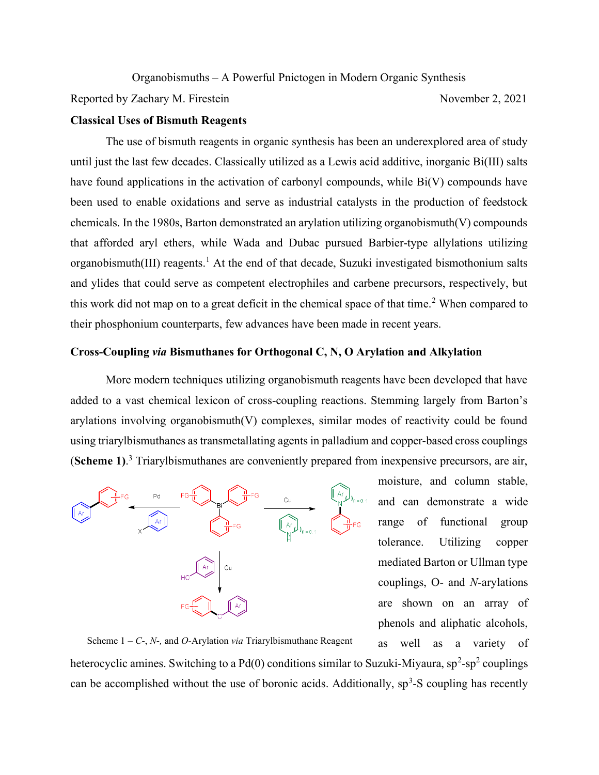Organobismuths – A Powerful Pnictogen in Modern Organic Synthesis

Reported by Zachary M. Firestein November 2, 2021

## Classical Uses of Bismuth Reagents

The use of bismuth reagents in organic synthesis has been an underexplored area of study until just the last few decades. Classically utilized as a Lewis acid additive, inorganic Bi(III) salts have found applications in the activation of carbonyl compounds, while Bi(V) compounds have been used to enable oxidations and serve as industrial catalysts in the production of feedstock chemicals. In the 1980s, Barton demonstrated an arylation utilizing organobismuth(V) compounds that afforded aryl ethers, while Wada and Dubac pursued Barbier-type allylations utilizing organobismuth(III) reagents.<sup>1</sup> At the end of that decade, Suzuki investigated bismothonium salts and ylides that could serve as competent electrophiles and carbene precursors, respectively, but this work did not map on to a great deficit in the chemical space of that time.<sup>2</sup> When compared to their phosphonium counterparts, few advances have been made in recent years.

## Cross-Coupling via Bismuthanes for Orthogonal C, N, O Arylation and Alkylation

 More modern techniques utilizing organobismuth reagents have been developed that have added to a vast chemical lexicon of cross-coupling reactions. Stemming largely from Barton's arylations involving organobismuth(V) complexes, similar modes of reactivity could be found using triarylbismuthanes as transmetallating agents in palladium and copper-based cross couplings (Scheme 1).<sup>3</sup> Triarylbismuthanes are conveniently prepared from inexpensive precursors, are air,



moisture, and column stable, and can demonstrate a wide range of functional group tolerance. Utilizing copper mediated Barton or Ullman type couplings, O- and N-arylations are shown on an array of phenols and aliphatic alcohols,

as well as a variety of heterocyclic amines. Switching to a Pd(0) conditions similar to Suzuki-Miyaura,  $sp^2-sp^2$  couplings can be accomplished without the use of boronic acids. Additionally,  $sp<sup>3</sup>$ -S coupling has recently Scheme  $1 - C$ -, N-, and O-Arylation via Triarylbismuthane Reagent